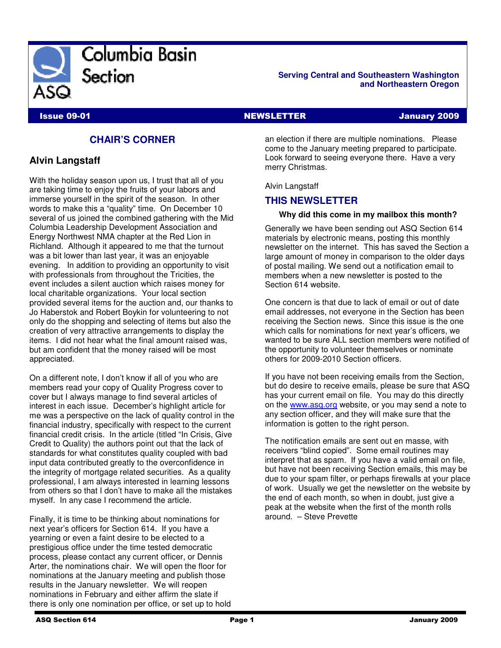

#### **Serving Central and Southeastern Washington and Northeastern Oregon**

# **CHAIR'S CORNER**

## **Alvin Langstaff**

With the holiday season upon us, I trust that all of you are taking time to enjoy the fruits of your labors and immerse yourself in the spirit of the season. In other words to make this a "quality" time. On December 10 several of us joined the combined gathering with the Mid Columbia Leadership Development Association and Energy Northwest NMA chapter at the Red Lion in Richland. Although it appeared to me that the turnout was a bit lower than last year, it was an enjoyable evening. In addition to providing an opportunity to visit with professionals from throughout the Tricities, the event includes a silent auction which raises money for local charitable organizations. Your local section provided several items for the auction and, our thanks to Jo Haberstok and Robert Boykin for volunteering to not only do the shopping and selecting of items but also the creation of very attractive arrangements to display the items. I did not hear what the final amount raised was, but am confident that the money raised will be most appreciated.

On a different note, I don't know if all of you who are members read your copy of Quality Progress cover to cover but I always manage to find several articles of interest in each issue. December's highlight article for me was a perspective on the lack of quality control in the financial industry, specifically with respect to the current financial credit crisis. In the article (titled "In Crisis, Give Credit to Quality) the authors point out that the lack of standards for what constitutes quality coupled with bad input data contributed greatly to the overconfidence in the integrity of mortgage related securities. As a quality professional, I am always interested in learning lessons from others so that I don't have to make all the mistakes myself. In any case I recommend the article.

Finally, it is time to be thinking about nominations for next year's officers for Section 614. If you have a yearning or even a faint desire to be elected to a prestigious office under the time tested democratic process, please contact any current officer, or Dennis Arter, the nominations chair. We will open the floor for nominations at the January meeting and publish those results in the January newsletter. We will reopen nominations in February and either affirm the slate if there is only one nomination per office, or set up to hold

**Issue 09-01** NEWSLETTER **NEWSLETTER January 2009** 

an election if there are multiple nominations. Please come to the January meeting prepared to participate. Look forward to seeing everyone there. Have a very merry Christmas.

Alvin Langstaff

#### **THIS NEWSLETTER**

#### **Why did this come in my mailbox this month?**

Generally we have been sending out ASQ Section 614 materials by electronic means, posting this monthly newsletter on the internet. This has saved the Section a large amount of money in comparison to the older days of postal mailing. We send out a notification email to members when a new newsletter is posted to the Section 614 website.

One concern is that due to lack of email or out of date email addresses, not everyone in the Section has been receiving the Section news. Since this issue is the one which calls for nominations for next year's officers, we wanted to be sure ALL section members were notified of the opportunity to volunteer themselves or nominate others for 2009-2010 Section officers.

If you have not been receiving emails from the Section, but do desire to receive emails, please be sure that ASQ has your current email on file. You may do this directly on the www.asq.org website, or you may send a note to any section officer, and they will make sure that the information is gotten to the right person.

The notification emails are sent out en masse, with receivers "blind copied". Some email routines may interpret that as spam. If you have a valid email on file, but have not been receiving Section emails, this may be due to your spam filter, or perhaps firewalls at your place of work. Usually we get the newsletter on the website by the end of each month, so when in doubt, just give a peak at the website when the first of the month rolls around. – Steve Prevette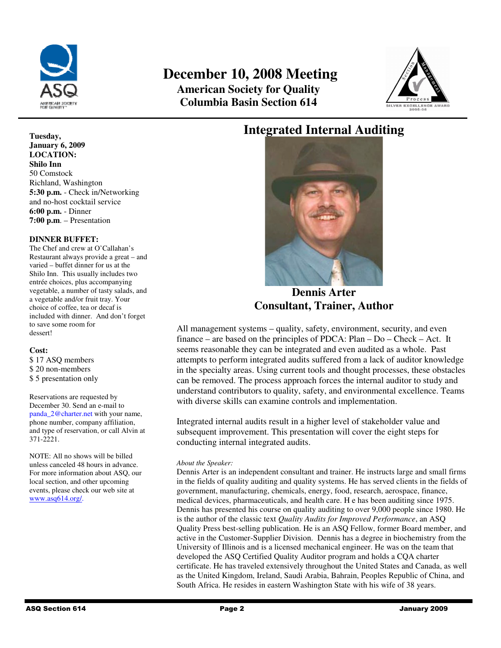

# **December 10, 2008 Meeting American Society for Quality Columbia Basin Section 614**



# **Integrated Internal Auditing**



**Dennis Arter Consultant, Trainer, Author** 

All management systems – quality, safety, environment, security, and even finance – are based on the principles of PDCA: Plan – Do – Check – Act. It seems reasonable they can be integrated and even audited as a whole. Past attempts to perform integrated audits suffered from a lack of auditor knowledge in the specialty areas. Using current tools and thought processes, these obstacles can be removed. The process approach forces the internal auditor to study and understand contributors to quality, safety, and environmental excellence. Teams with diverse skills can examine controls and implementation.

Integrated internal audits result in a higher level of stakeholder value and subsequent improvement. This presentation will cover the eight steps for conducting internal integrated audits.

#### *About the Speaker:*

Dennis Arter is an independent consultant and trainer. He instructs large and small firms in the fields of quality auditing and quality systems. He has served clients in the fields of government, manufacturing, chemicals, energy, food, research, aerospace, finance, medical devices, pharmaceuticals, and health care. H e has been auditing since 1975. Dennis has presented his course on quality auditing to over 9,000 people since 1980. He is the author of the classic text *Quality Audits for Improved Performance*, an ASQ Quality Press best-selling publication. He is an ASQ Fellow, former Board member, and active in the Customer-Supplier Division. Dennis has a degree in biochemistry from the University of Illinois and is a licensed mechanical engineer. He was on the team that developed the ASQ Certified Quality Auditor program and holds a CQA charter certificate. He has traveled extensively throughout the United States and Canada, as well as the United Kingdom, Ireland, Saudi Arabia, Bahrain, Peoples Republic of China, and South Africa. He resides in eastern Washington State with his wife of 38 years.

#### **Tuesday, January 6, 2009 LOCATION: Shilo Inn**  50 Comstock Richland, Washington **5:30 p.m.** - Check in/Networking and no-host cocktail service **6:00 p.m.** - Dinner **7:00 p.m**. – Presentation

#### **DINNER BUFFET:**

The Chef and crew at O'Callahan's Restaurant always provide a great – and varied – buffet dinner for us at the Shilo Inn. This usually includes two entrée choices, plus accompanying vegetable, a number of tasty salads, and a vegetable and/or fruit tray. Your choice of coffee, tea or decaf is included with dinner. And don't forget to save some room for dessert!

#### **Cost:**

\$ 17 ASQ members \$ 20 non-members \$ 5 presentation only

Reservations are requested by December 30. Send an e-mail to panda\_2@charter.net with your name, phone number, company affiliation, and type of reservation, or call Alvin at 371-2221.

NOTE: All no shows will be billed unless canceled 48 hours in advance. For more information about ASQ, our local section, and other upcoming events, please check our web site at www.asq614.org/.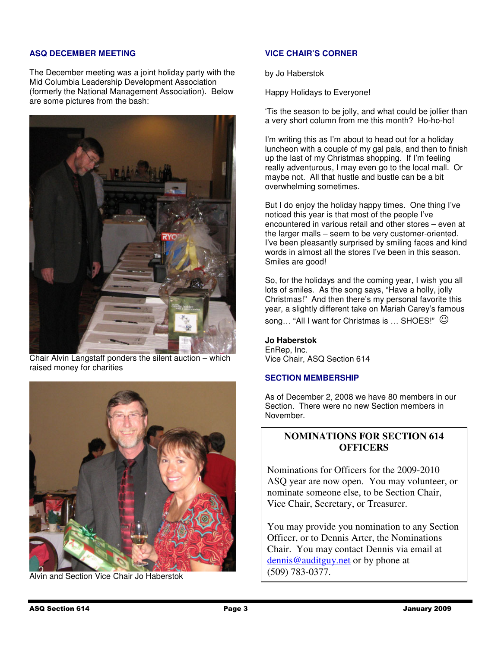#### **ASQ DECEMBER MEETING**

The December meeting was a joint holiday party with the Mid Columbia Leadership Development Association (formerly the National Management Association). Below are some pictures from the bash:



Chair Alvin Langstaff ponders the silent auction – which raised money for charities



Alvin and Section Vice Chair Jo Haberstok

#### **VICE CHAIR'S CORNER**

by Jo Haberstok

Happy Holidays to Everyone!

'Tis the season to be jolly, and what could be jollier than a very short column from me this month? Ho-ho-ho!

I'm writing this as I'm about to head out for a holiday luncheon with a couple of my gal pals, and then to finish up the last of my Christmas shopping. If I'm feeling really adventurous, I may even go to the local mall. Or maybe not. All that hustle and bustle can be a bit overwhelming sometimes.

But I do enjoy the holiday happy times. One thing I've noticed this year is that most of the people I've encountered in various retail and other stores – even at the larger malls – seem to be very customer-oriented. I've been pleasantly surprised by smiling faces and kind words in almost all the stores I've been in this season. Smiles are good!

So, for the holidays and the coming year, I wish you all lots of smiles. As the song says, "Have a holly, jolly Christmas!" And then there's my personal favorite this year, a slightly different take on Mariah Carey's famous

song... "All I want for Christmas is ... SHOES!"  $\heartsuit$ 

#### **Jo Haberstok**

EnRep, Inc. Vice Chair, ASQ Section 614

#### **SECTION MEMBERSHIP**

As of December 2, 2008 we have 80 members in our Section. There were no new Section members in November.

## **NOMINATIONS FOR SECTION 614 OFFICERS**

Nominations for Officers for the 2009-2010 ASQ year are now open. You may volunteer, or nominate someone else, to be Section Chair, Vice Chair, Secretary, or Treasurer.

You may provide you nomination to any Section Officer, or to Dennis Arter, the Nominations Chair. You may contact Dennis via email at dennis@auditguy.net or by phone at (509) 783-0377.